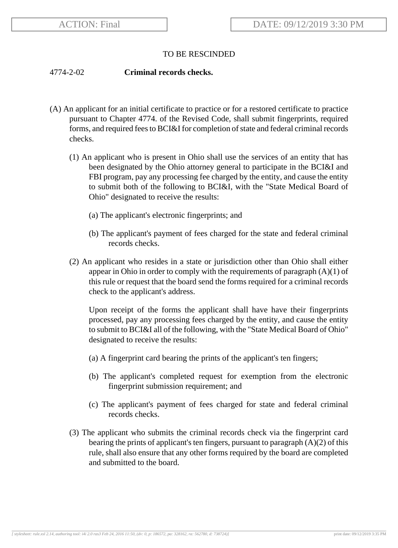## TO BE RESCINDED

## 4774-2-02 **Criminal records checks.**

- (A) An applicant for an initial certificate to practice or for a restored certificate to practice pursuant to Chapter 4774. of the Revised Code, shall submit fingerprints, required forms, and required fees to BCI&I for completion of state and federal criminal records checks.
	- (1) An applicant who is present in Ohio shall use the services of an entity that has been designated by the Ohio attorney general to participate in the BCI&I and FBI program, pay any processing fee charged by the entity, and cause the entity to submit both of the following to BCI&I, with the "State Medical Board of Ohio" designated to receive the results:
		- (a) The applicant's electronic fingerprints; and
		- (b) The applicant's payment of fees charged for the state and federal criminal records checks.
	- (2) An applicant who resides in a state or jurisdiction other than Ohio shall either appear in Ohio in order to comply with the requirements of paragraph  $(A)(1)$  of this rule or request that the board send the forms required for a criminal records check to the applicant's address.

Upon receipt of the forms the applicant shall have have their fingerprints processed, pay any processing fees charged by the entity, and cause the entity to submit to BCI&I all of the following, with the "State Medical Board of Ohio" designated to receive the results:

- (a) A fingerprint card bearing the prints of the applicant's ten fingers;
- (b) The applicant's completed request for exemption from the electronic fingerprint submission requirement; and
- (c) The applicant's payment of fees charged for state and federal criminal records checks.
- (3) The applicant who submits the criminal records check via the fingerprint card bearing the prints of applicant's ten fingers, pursuant to paragraph  $(A)(2)$  of this rule, shall also ensure that any other forms required by the board are completed and submitted to the board.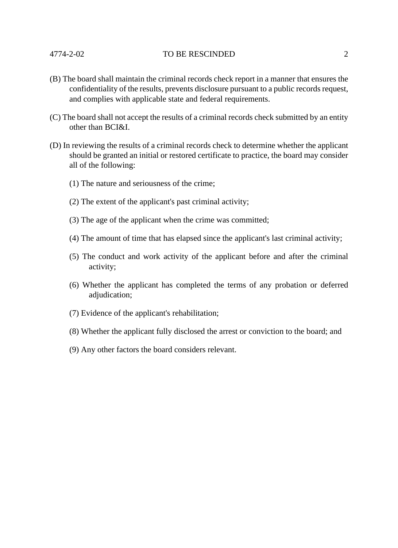## 4774-2-02 TO BE RESCINDED 2

- (B) The board shall maintain the criminal records check report in a manner that ensures the confidentiality of the results, prevents disclosure pursuant to a public records request, and complies with applicable state and federal requirements.
- (C) The board shall not accept the results of a criminal records check submitted by an entity other than BCI&I.
- (D) In reviewing the results of a criminal records check to determine whether the applicant should be granted an initial or restored certificate to practice, the board may consider all of the following:
	- (1) The nature and seriousness of the crime;
	- (2) The extent of the applicant's past criminal activity;
	- (3) The age of the applicant when the crime was committed;
	- (4) The amount of time that has elapsed since the applicant's last criminal activity;
	- (5) The conduct and work activity of the applicant before and after the criminal activity;
	- (6) Whether the applicant has completed the terms of any probation or deferred adjudication;
	- (7) Evidence of the applicant's rehabilitation;
	- (8) Whether the applicant fully disclosed the arrest or conviction to the board; and
	- (9) Any other factors the board considers relevant.